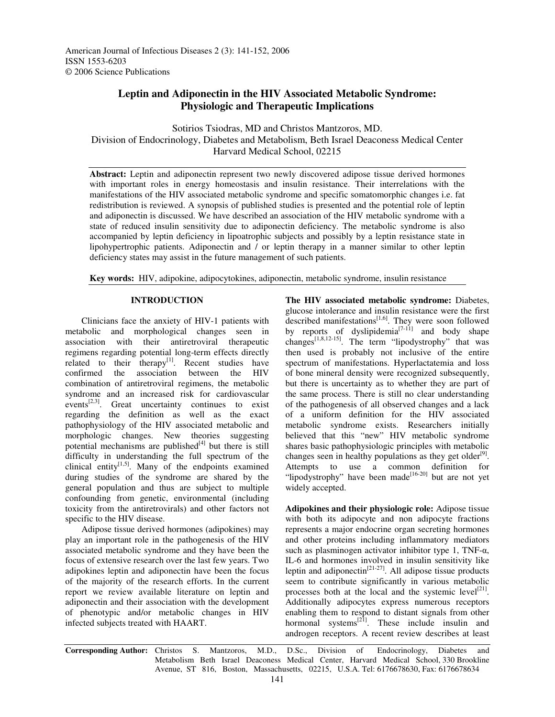## **Leptin and Adiponectin in the HIV Associated Metabolic Syndrome: Physiologic and Therapeutic Implications**

Sotirios Tsiodras, MD and Christos Mantzoros, MD. Division of Endocrinology, Diabetes and Metabolism, Beth Israel Deaconess Medical Center Harvard Medical School, 02215

**Abstract:** Leptin and adiponectin represent two newly discovered adipose tissue derived hormones with important roles in energy homeostasis and insulin resistance. Their interrelations with the manifestations of the HIV associated metabolic syndrome and specific somatomorphic changes i.e. fat redistribution is reviewed. A synopsis of published studies is presented and the potential role of leptin and adiponectin is discussed. We have described an association of the HIV metabolic syndrome with a state of reduced insulin sensitivity due to adiponectin deficiency. The metabolic syndrome is also accompanied by leptin deficiency in lipoatrophic subjects and possibly by a leptin resistance state in lipohypertrophic patients. Adiponectin and / or leptin therapy in a manner similar to other leptin deficiency states may assist in the future management of such patients.

**Key words:** HIV, adipokine, adipocytokines, adiponectin, metabolic syndrome, insulin resistance

## **INTRODUCTION**

Clinicians face the anxiety of HIV-1 patients with metabolic and morphological changes seen in association with their antiretroviral therapeutic regimens regarding potential long-term effects directly related to their therapy<sup>[1]</sup>. Recent studies have confirmed the association between the HIV combination of antiretroviral regimens, the metabolic syndrome and an increased risk for cardiovascular events<sup>[2,3]</sup>. Great uncertainty continues to exist regarding the definition as well as the exact pathophysiology of the HIV associated metabolic and morphologic changes. New theories suggesting potential mechanisms are published $[4]$  but there is still difficulty in understanding the full spectrum of the clinical entity $[1,5]$ . Many of the endpoints examined during studies of the syndrome are shared by the general population and thus are subject to multiple confounding from genetic, environmental (including toxicity from the antiretrovirals) and other factors not specific to the HIV disease.

Adipose tissue derived hormones (adipokines) may play an important role in the pathogenesis of the HIV associated metabolic syndrome and they have been the focus of extensive research over the last few years. Two adipokines leptin and adiponectin have been the focus of the majority of the research efforts. In the current report we review available literature on leptin and adiponectin and their association with the development of phenotypic and/or metabolic changes in HIV infected subjects treated with HAART.

**The HIV associated metabolic syndrome:** Diabetes, glucose intolerance and insulin resistance were the first described manifestations $\left[1,6\right]$ . They were soon followed by reports of dyslipidemia<sup>[7-11]</sup> and body shape changes [1,8,12-15] . The term "lipodystrophy" that was then used is probably not inclusive of the entire spectrum of manifestations. Hyperlactatemia and loss of bone mineral density were recognized subsequently, but there is uncertainty as to whether they are part of the same process. There is still no clear understanding of the pathogenesis of all observed changes and a lack of a uniform definition for the HIV associated metabolic syndrome exists. Researchers initially believed that this "new" HIV metabolic syndrome shares basic pathophysiologic principles with metabolic changes seen in healthy populations as they get older<sup>[9]</sup>. Attempts to use a common definition for "lipodystrophy" have been made $^{[16-20]}$  but are not yet widely accepted.

**Adipokines and their physiologic role:** Adipose tissue with both its adipocyte and non adipocyte fractions represents a major endocrine organ secreting hormones and other proteins including inflammatory mediators such as plasminogen activator inhibitor type 1, TNF- $\alpha$ , IL-6 and hormones involved in insulin sensitivity like leptin and adiponectin $[21-27]$ . All adipose tissue products seem to contribute significantly in various metabolic processes both at the local and the systemic level $[21]$ . Additionally adipocytes express numerous receptors enabling them to respond to distant signals from other hormonal systems<sup>[21]</sup>. These include insulin and androgen receptors. A recent review describes at least

**Corresponding Author:** Christos S. Mantzoros, M.D., D.Sc., Division of Endocrinology, Diabetes and Metabolism Beth Israel Deaconess Medical Center, Harvard Medical School, 330 Brookline Avenue, ST 816, Boston, Massachusetts, 02215, U.S.A. Tel: 6176678630, Fax: 6176678634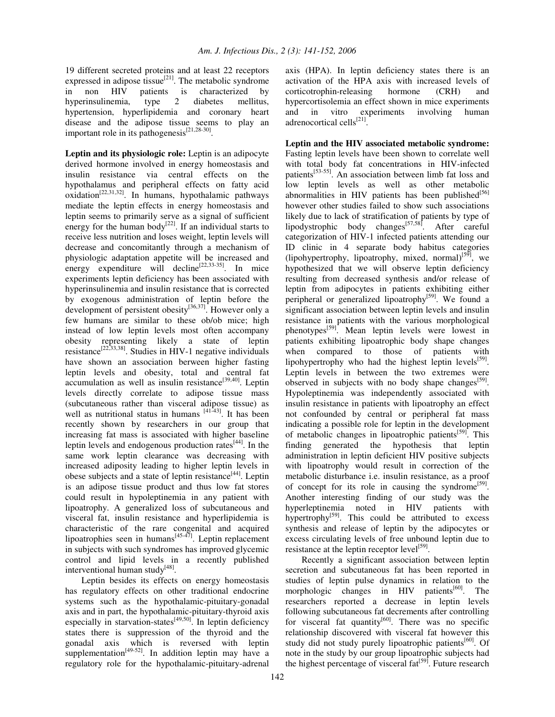19 different secreted proteins and at least 22 receptors expressed in adipose tissue<sup>[21]</sup>. The metabolic syndrome in non HIV patients is characterized by hyperinsulinemia, type 2 diabetes mellitus, hypertension, hyperlipidemia and coronary heart disease and the adipose tissue seems to play an important role in its pathogenesis<sup>[21,28-30]</sup>.

**Leptin and its physiologic role:** Leptin is an adipocyte derived hormone involved in energy homeostasis and insulin resistance via central effects on the hypothalamus and peripheral effects on fatty acid oxidation<sup>[22,31,32]</sup>. In humans, hypothalamic pathways mediate the leptin effects in energy homeostasis and leptin seems to primarily serve as a signal of sufficient energy for the human body<sup>[22]</sup>. If an individual starts to receive less nutrition and loses weight, leptin levels will decrease and concomitantly through a mechanism of physiologic adaptation appetite will be increased and energy expenditure will decline<sup>[22,33-35]</sup>. In mice experiments leptin deficiency has been associated with hyperinsulinemia and insulin resistance that is corrected by exogenous administration of leptin before the development of persistent obesity<sup>[36,37]</sup>. However only a few humans are similar to these ob/ob mice; high instead of low leptin levels most often accompany obesity representing likely a state of leptin resistance<sup>[22,33,38]</sup>. Studies in HIV-1 negative individuals have shown an association berween higher fasting leptin levels and obesity, total and central fat accumulation as well as insulin resistance<sup>[39,40]</sup>. Leptin levels directly correlate to adipose tissue mass (subcutaneous rather than visceral adipose tissue) as well as nutritional status in humans  $[41-43]$ . It has been recently shown by researchers in our group that increasing fat mass is associated with higher baseline leptin levels and endogenous production rates<sup>[44]</sup>. In the same work leptin clearance was decreasing with increased adiposity leading to higher leptin levels in obese subjects and a state of leptin resistance<sup>[44]</sup>. Leptin is an adipose tissue product and thus low fat stores could result in hypoleptinemia in any patient with lipoatrophy. A generalized loss of subcutaneous and visceral fat, insulin resistance and hyperlipidemia is characteristic of the rare congenital and acquired lipoatrophies seen in humans<sup>[45-47]</sup>. Leptin replacement in subjects with such syndromes has improved glycemic control and lipid levels in a recently published interventional human study<sup>[48]</sup>.

Leptin besides its effects on energy homeostasis has regulatory effects on other traditional endocrine systems such as the hypothalamic-pituitary-gonadal axis and in part, the hypothalamic-pituitary-thyroid axis especially in starvation-states<sup>[49,50]</sup>. In leptin deficiency states there is suppression of the thyroid and the gonadal axis which is reversed with leptin supplementation $[49-52]$ . In addition leptin may have a regulatory role for the hypothalamic-pituitary-adrenal

axis (HPA). In leptin deficiency states there is an activation of the HPA axis with increased levels of corticotrophin-releasing hormone (CRH) and hypercortisolemia an effect shown in mice experiments and in vitro experiments involving human adrenocortical cells<sup>[21]</sup>.

**Leptin and the HIV associated metabolic syndrome:** Fasting leptin levels have been shown to correlate well with total body fat concentrations in HIV-infected patients<sup>[53-55]</sup>. An association between limb fat loss and low leptin levels as well as other metabolic abnormalities in HIV patients has been published<sup>[56]</sup> however other studies failed to show such associations likely due to lack of stratification of patients by type of lipodystrophic body changes<sup>[57,58]</sup>. After careful categorization of HIV-1 infected patients attending our ID clinic in 4 separate body habitus categories (lipohypertrophy, lipoatrophy, mixed, normal)<sup>[59]</sup>, we hypothesized that we will observe leptin deficiency resulting from decreased synthesis and/or release of leptin from adipocytes in patients exhibiting either peripheral or generalized lipoatrophy<sup>[59]</sup>. We found a significant association between leptin levels and insulin resistance in patients with the various morphological phenotypes<sup>[59]</sup>. Mean leptin levels were lowest in patients exhibiting lipoatrophic body shape changes when compared to those of patients with lipohypertrophy who had the highest leptin levels<sup>[59]</sup>. Leptin levels in between the two extremes were observed in subjects with no body shape changes<sup>[59]</sup>. Hypoleptinemia was independently associated with insulin resistance in patients with lipoatrophy an effect not confounded by central or peripheral fat mass indicating a possible role for leptin in the development of metabolic changes in lipoatrophic patients<sup>[59]</sup>. This finding generated the hypothesis that leptin administration in leptin deficient HIV positive subjects with lipoatrophy would result in correction of the metabolic disturbance i.e. insulin resistance, as a proof of concept for its role in causing the syndrome<sup>[59]</sup>. Another interesting finding of our study was the hyperleptinemia noted in HIV patients with hypertrophy<sup>[59]</sup>. This could be attributed to excess synthesis and release of leptin by the adipocytes or excess circulating levels of free unbound leptin due to resistance at the leptin receptor level<sup>[59]</sup>.

Recently a significant association between leptin secretion and subcutaneous fat has been reported in studies of leptin pulse dynamics in relation to the morphologic changes in HIV patients<sup>[60]</sup>. The researchers reported a decrease in leptin levels following subcutaneous fat decrements after controlling for visceral fat quantity<sup>[60]</sup>. There was no specific relationship discovered with visceral fat however this study did not study purely lipoatrophic patients<sup>[60]</sup>. Of note in the study by our group lipoatrophic subjects had the highest percentage of visceral fat<sup>[59]</sup>. Future research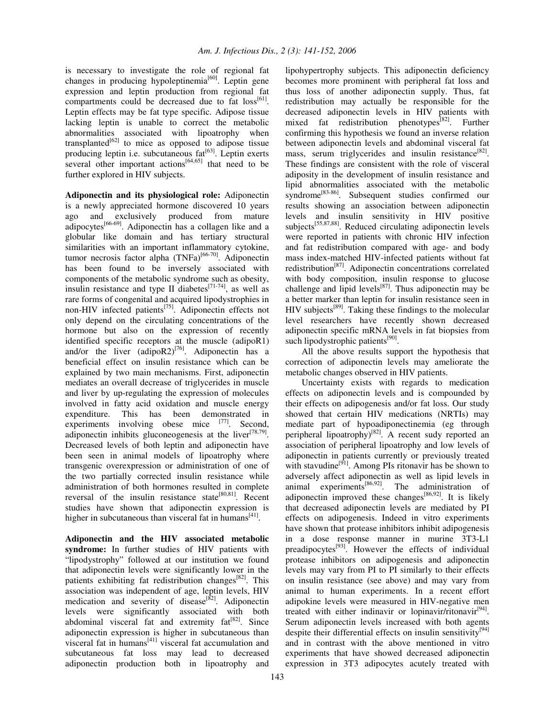is necessary to investigate the role of regional fat changes in producing hypoleptinemia<sup>[60]</sup>. Leptin gene expression and leptin production from regional fat compartments could be decreased due to fat loss<sup>[61]</sup>. Leptin effects may be fat type specific. Adipose tissue lacking leptin is unable to correct the metabolic abnormalities associated with lipoatrophy when transplanted $[62]$  to mice as opposed to adipose tissue producing leptin i.e. subcutaneous fat<sup>[63]</sup>. Leptin exerts several other important actions<sup>[64,65]</sup> that need to be further explored in HIV subjects.

**Adiponectin and its physiological role:** Adiponectin is a newly appreciated hormone discovered 10 years ago and exclusively produced from mature adipocytes<sup>[66-69]</sup>. Adiponectin has a collagen like and a globular like domain and has tertiary structural similarities with an important inflammatory cytokine, tumor necrosis factor alpha (TNFa)<sup>[66-70]</sup>. Adiponectin has been found to be inversely associated with components of the metabolic syndrome such as obesity, insulin resistance and type II diabetes $^{[71-74]}$ , as well as rare forms of congenital and acquired lipodystrophies in non-HIV infected patients<sup>[75]</sup>. Adiponectin effects not only depend on the circulating concentrations of the hormone but also on the expression of recently identified specific receptors at the muscle (adipoR1) and/or the liver  $(adipoR2)^{[76]}$ . Adiponectin has a beneficial effect on insulin resistance which can be explained by two main mechanisms. First, adiponectin mediates an overall decrease of triglycerides in muscle and liver by up-regulating the expression of molecules involved in fatty acid oxidation and muscle energy expenditure. This has been demonstrated in experiments involving obese mice [77]. Second, adiponectin inhibits gluconeogenesis at the liver<sup>[78,79]</sup>. Decreased levels of both leptin and adiponectin have been seen in animal models of lipoatrophy where transgenic overexpression or administration of one of the two partially corrected insulin resistance while administration of both hormones resulted in complete reversal of the insulin resistance state<sup>[80,81]</sup>. Recent studies have shown that adiponectin expression is higher in subcutaneous than visceral fat in humans<sup>[41]</sup>.

**Adiponectin and the HIV associated metabolic syndrome:** In further studies of HIV patients with "lipodystrophy" followed at our institution we found that adiponectin levels were significantly lower in the patients exhibiting fat redistribution changes<sup>[82]</sup>. This association was independent of age, leptin levels, HIV medication and severity of disease<sup>[82]</sup>. Adiponectin levels were significantly associated with both abdominal visceral fat and extremity fat<sup>[82]</sup>. Since adiponectin expression is higher in subcutaneous than visceral fat in humans [41] visceral fat accumulation and subcutaneous fat loss may lead to decreased adiponectin production both in lipoatrophy and

lipohypertrophy subjects. This adiponectin deficiency becomes more prominent with peripheral fat loss and thus loss of another adiponectin supply. Thus, fat redistribution may actually be responsible for the decreased adiponectin levels in HIV patients with mixed fat redistribution phenotypes<sup>[82]</sup>. Further confirming this hypothesis we found an inverse relation between adiponectin levels and abdominal visceral fat mass, serum triglycerides and insulin resistance<sup>[82]</sup>. These findings are consistent with the role of visceral adiposity in the development of insulin resistance and lipid abnormalities associated with the metabolic syndrome<sup>[83-86]</sup>. Subsequent studies confirmed our results showing an association between adiponectin levels and insulin sensitivity in HIV positive subjects<sup>[55,87,88]</sup>. Reduced circulating adiponectin levels were reported in patients with chronic HIV infection and fat redistribution compared with age- and body mass index-matched HIV-infected patients without fat redistribution<sup>[87]</sup>. Adiponectin concentrations correlated with body composition, insulin response to glucose challenge and lipid levels<sup>[87]</sup>. Thus adiponectin may be a better marker than leptin for insulin resistance seen in HIV subjects<sup>[89]</sup>. Taking these findings to the molecular level researchers have recently shown decreased adiponectin specific mRNA levels in fat biopsies from such lipodystrophic patients<sup>[90]</sup>.

All the above results support the hypothesis that correction of adiponectin levels may ameliorate the metabolic changes observed in HIV patients.

Uncertainty exists with regards to medication effects on adiponectin levels and is compounded by their effects on adipogenesis and/or fat loss. Our study showed that certain HIV medications (NRTIs) may mediate part of hypoadiponectinemia (eg through peripheral lipoatrophy)<sup>[82]</sup>. A recent sudy reported an association of peripheral lipoatrophy and low levels of adiponectin in patients currently or previously treated with stavudine<sup>[91]</sup>. Among PIs ritonavir has be shown to adversely affect adiponectin as well as lipid levels in animal experiments<sup>[86,92]</sup>. The administration of adiponectin improved these changes<sup>[86,92]</sup>. It is likely that decreased adiponectin levels are mediated by PI effects on adipogenesis. Indeed in vitro experiments have shown that protease inhibitors inhibit adipogenesis in a dose response manner in murine 3T3-L1 preadipocytes<sup>[93]</sup>. However the effects of individual protease inhibitors on adipogenesis and adiponectin levels may vary from PI to PI similarly to their effects on insulin resistance (see above) and may vary from animal to human experiments. In a recent effort adipokine levels were measured in HIV-negative men treated with either indinavir or lopinavir/ritonavir<sup>[94]</sup>. Serum adiponectin levels increased with both agents despite their differential effects on insulin sensitivity<sup>[94]</sup> and in contrast with the above mentioned in vitro experiments that have showed decreased adiponectin expression in 3T3 adipocytes acutely treated with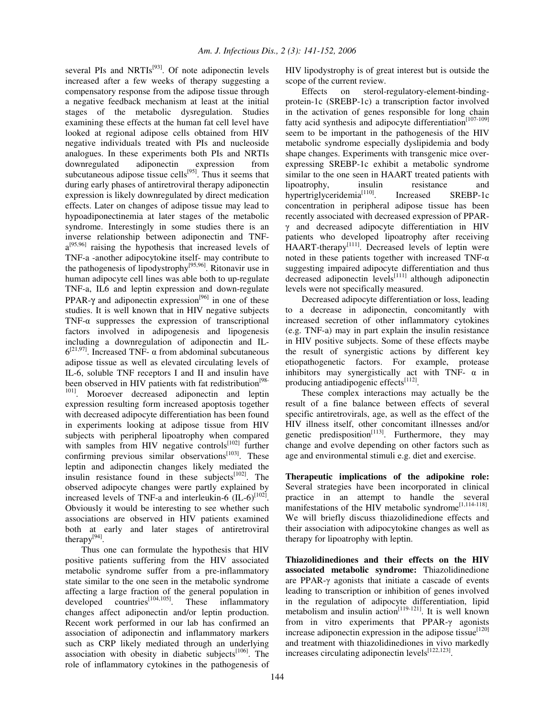several PIs and NRTIs<sup>[93]</sup>. Of note adiponectin levels increased after a few weeks of therapy suggesting a compensatory response from the adipose tissue through a negative feedback mechanism at least at the initial stages of the metabolic dysregulation. Studies examining these effects at the human fat cell level have looked at regional adipose cells obtained from HIV negative individuals treated with PIs and nucleoside analogues. In these experiments both PIs and NRTIs downregulated adiponectin expression from subcutaneous adipose tissue cells $[95]$ . Thus it seems that during early phases of antiretroviral therapy adiponectin expression is likely downregulated by direct medication effects. Later on changes of adipose tissue may lead to hypoadiponectinemia at later stages of the metabolic syndrome. Interestingly in some studies there is an inverse relationship between adiponectin and TNFa<sup>[95,96]</sup> raising the hypothesis that increased levels of TNF-a -another adipocytokine itself- may contribute to the pathogenesis of lipodystrophy<sup>[95,96]</sup>. Ritonavir use in human adipocyte cell lines was able both to up-regulate TNF-a, IL6 and leptin expression and down-regulate PPAR- $\gamma$  and adiponectin expression<sup>[96]</sup> in one of these studies. It is well known that in HIV negative subjects TNF- $\alpha$  suppresses the expression of transcriptional factors involved in adipogenesis and lipogenesis including a downregulation of adiponectin and IL- $6^{[21,97]}$ . Increased TNF-  $\alpha$  from abdominal subcutaneous adipose tissue as well as elevated circulating levels of IL-6, soluble TNF receptors I and II and insulin have been observed in HIV patients with fat redistribution<sup>[98-1</sup>] <sup>101]</sup>. Moroever decreased adiponectin and leptin expression resulting form increased apoptosis together with decreased adipocyte differentiation has been found in experiments looking at adipose tissue from HIV subjects with peripheral lipoatrophy when compared with samples from HIV negative controls<sup>[102]</sup> further confirming previous similar observations<sup>[103]</sup>. These leptin and adiponectin changes likely mediated the insulin resistance found in these subjects<sup>[102]</sup>. The observed adipocyte changes were partly explained by increased levels of TNF-a and interleukin-6  $(IL-6)^{[102]}$ . Obviously it would be interesting to see whether such associations are observed in HIV patients examined both at early and later stages of antiretroviral therapy $^{[94]}$ .

Thus one can formulate the hypothesis that HIV positive patients suffering from the HIV associated metabolic syndrome suffer from a pre-inflammatory state similar to the one seen in the metabolic syndrome affecting a large fraction of the general population in developed countries<sup>[104,105]</sup>. These inflammatory changes affect adiponectin and/or leptin production. Recent work performed in our lab has confirmed an association of adiponectin and inflammatory markers such as CRP likely mediated through an underlying association with obesity in diabetic subjects<sup>[106]</sup>. The role of inflammatory cytokines in the pathogenesis of HIV lipodystrophy is of great interest but is outside the scope of the current review.

Effects on sterol-regulatory-element-bindingprotein-1c (SREBP-1c) a transcription factor involved in the activation of genes responsible for long chain fatty acid synthesis and adipocyte differentiation<sup>[107-109]</sup> seem to be important in the pathogenesis of the HIV metabolic syndrome especially dyslipidemia and body shape changes. Experiments with transgenic mice overexpressing SREBP-1c exhibit a metabolic syndrome similar to the one seen in HAART treated patients with lipoatrophy, insulin resistance and hypertriglyceridemia<sup>[110]</sup> . Increased SREBP-1c concentration in peripheral adipose tissue has been recently associated with decreased expression of PPAR- - and decreased adipocyte differentiation in HIV patients who developed lipoatrophy after receiving HAART-therapy<sup>[111]</sup>. Decreased levels of leptin were noted in these patients together with increased TNF- $\alpha$ suggesting impaired adipocyte differentiation and thus decreased adiponectin levels<sup>[111]</sup> although adiponectin levels were not specifically measured.

Decreased adipocyte differentiation or loss, leading to a decrease in adiponectin, concomitantly with increased secretion of other inflammatory cytokines (e.g. TNF-a) may in part explain the insulin resistance in HIV positive subjects. Some of these effects maybe the result of synergistic actions by different key etiopathogenetic factors. For example, protease inhibitors may synergistically act with TNF-  $\alpha$  in producing antiadipogenic effects<sup>[112]</sup>.

These complex interactions may actually be the result of a fine balance between effects of several specific antiretrovirals, age, as well as the effect of the HIV illness itself, other concomitant illnesses and/or genetic predisposition<sup>[113]</sup>. Furthermore, they may change and evolve depending on other factors such as age and environmental stimuli e.g. diet and exercise.

**Therapeutic implications of the adipokine role:** Several strategies have been incorporated in clinical practice in an attempt to handle the several manifestations of the HIV metabolic syndrome<sup>[1,114-118]</sup>. We will briefly discuss thiazolidinedione effects and their association with adipocytokine changes as well as therapy for lipoatrophy with leptin.

**Thiazolidinediones and their effects on the HIV associated metabolic syndrome:** Thiazolidinedione are PPAR- $\gamma$  agonists that initiate a cascade of events leading to transcription or inhibition of genes involved in the regulation of adipocyte differentiation, lipid metabolism and insulin action<sup>[119-121]</sup>. It is well known from in vitro experiments that PPAR- $\gamma$  agonists increase adiponectin expression in the adipose tissue<sup>[120]</sup> and treatment with thiazolidinediones in vivo markedly increases circulating adiponectin levels<sup>[122,123]</sup>.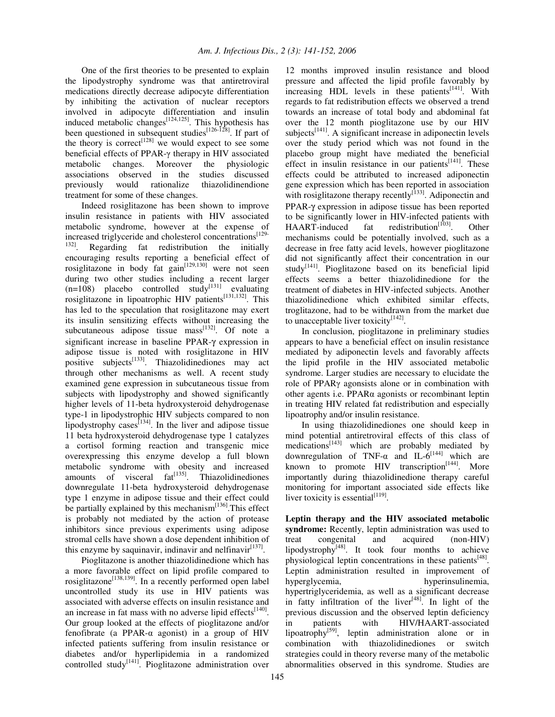One of the first theories to be presented to explain the lipodystrophy syndrome was that antiretroviral medications directly decrease adipocyte differentiation by inhibiting the activation of nuclear receptors involved in adipocyte differentiation and insulin induced metabolic changes<sup>[124,125]</sup>. This hypothesis has been questioned in subsequent studies<sup>[126-128]</sup>. If part of the theory is correct<sup>[128]</sup> we would expect to see some beneficial effects of PPAR-γ therapy in HIV associated metabolic changes. Moreover the physiologic associations observed in the studies discussed previously would rationalize thiazolidinendione treatment for some of these changes.

Indeed rosiglitazone has been shown to improve insulin resistance in patients with HIV associated metabolic syndrome, however at the expense of increased triglyceride and cholesterol concentrations<sup>[129-</sup> <sup>132]</sup>. Regarding fat redistribution the initially encouraging results reporting a beneficial effect of rosiglitazone in body fat gain<sup>[129,130]</sup> were not seen during two other studies including a recent larger  $(n=108)$  placebo controlled study<sup>[131]</sup> evaluating rosiglitazone in lipoatrophic HIV patients<sup>[131,132]</sup>. This has led to the speculation that rosiglitazone may exert its insulin sensitizing effects without increasing the subcutaneous adipose tissue  $mass<sup>[132]</sup>$ . Of note a significant increase in baseline PPAR-γ expression in adipose tissue is noted with rosiglitazone in HIV positive subjects<sup>[133]</sup>. Thiazolidinediones may act through other mechanisms as well. A recent study examined gene expression in subcutaneous tissue from subjects with lipodystrophy and showed significantly higher levels of 11-beta hydroxysteroid dehydrogenase type-1 in lipodystrophic HIV subjects compared to non lipodystrophy cases<sup>[134]</sup>. In the liver and adipose tissue 11 beta hydroxysteroid dehydrogenase type 1 catalyzes a cortisol forming reaction and transgenic mice overexpressing this enzyme develop a full blown metabolic syndrome with obesity and increased amounts of visceral fat<sup>[135]</sup>. Thiazolidinediones downregulate 11-beta hydroxysteroid dehydrogenase type 1 enzyme in adipose tissue and their effect could be partially explained by this mechanism<sup>[136]</sup>. This effect is probably not mediated by the action of protease inhibitors since previous experiments using adipose stromal cells have shown a dose dependent inhibition of this enzyme by saquinavir, indinavir and nelfinavir<sup>[137]</sup>.

Pioglitazone is another thiazolidinedione which has a more favorable effect on lipid profile compared to rosiglitazone<sup>[138,139]</sup>. In a recently performed open label uncontrolled study its use in HIV patients was associated with adverse effects on insulin resistance and an increase in fat mass with no adverse lipid effects<sup>[140]</sup>. Our group looked at the effects of pioglitazone and/or fenofibrate (a PPAR- $\alpha$  agonist) in a group of HIV infected patients suffering from insulin resistance or diabetes and/or hyperlipidemia in a randomized controlled study<sup>[141]</sup>. Pioglitazone administration over

12 months improved insulin resistance and blood pressure and affected the lipid profile favorably by increasing HDL levels in these patients<sup>[141]</sup>. With regards to fat redistribution effects we observed a trend towards an increase of total body and abdominal fat over the 12 month pioglitazone use by our HIV subjects<sup>[141]</sup>. A significant increase in adiponectin levels over the study period which was not found in the placebo group might have mediated the beneficial effect in insulin resistance in our patients<sup>[141]</sup>. These effects could be attributed to increased adiponectin gene expression which has been reported in association with rosiglitazone therapy recently<sup>[133]</sup>. Adiponectin and PPAR-γ expression in adipose tissue has been reported to be significantly lower in HIV-infected patients with HAART-induced fat redistribution $^{[103]}$ . . Other mechanisms could be potentially involved, such as a decrease in free fatty acid levels, however pioglitazone did not significantly affect their concentration in our study<sup>[141]</sup>. Pioglitazone based on its beneficial lipid effects seems a better thiazolidinedione for the treatment of diabetes in HIV-infected subjects. Another thiazolidinedione which exhibited similar effects, troglitazone, had to be withdrawn from the market due to unacceptable liver toxicity $[142]$ .

In conclusion, pioglitazone in preliminary studies appears to have a beneficial effect on insulin resistance mediated by adiponectin levels and favorably affects the lipid profile in the HIV associated metabolic syndrome. Larger studies are necessary to elucidate the role of PPAR<sub>Y</sub> agonsists alone or in combination with other agents i.e.  $PPAR\alpha$  agonists or recombinant leptin in treating HIV related fat redistribution and especially lipoatrophy and/or insulin resistance.

In using thiazolidinediones one should keep in mind potential antiretroviral effects of this class of medications<sup>[143]</sup> which are probably mediated by downregulation of TNF- $\alpha$  and IL-6<sup>[144]</sup> which are known to promote HIV transcription<sup>[144]</sup>. More importantly during thiazolidinedione therapy careful monitoring for important associated side effects like liver toxicity is essential<sup>[119]</sup>.

**Leptin therapy and the HIV associated metabolic syndrome:** Recently, leptin administration was used to treat congenital and acquired (non-HIV) lipodystrophy<sup>[48]</sup>. It took four months to achieve physiological leptin concentrations in these patients<sup>[48]</sup>. Leptin administration resulted in improvement of hyperglycemia, hyperinsulinemia, hypertriglyceridemia, as well as a significant decrease in fatty infiltration of the liver $[$ <sup> $[48]$ </sup>. In light of the previous discussion and the observed leptin deficiency in patients with HIV/HAART-associated lipoatrophy<sup>[59]</sup>, leptin administration alone or in combination with thiazolidinediones or switch strategies could in theory reverse many of the metabolic abnormalities observed in this syndrome. Studies are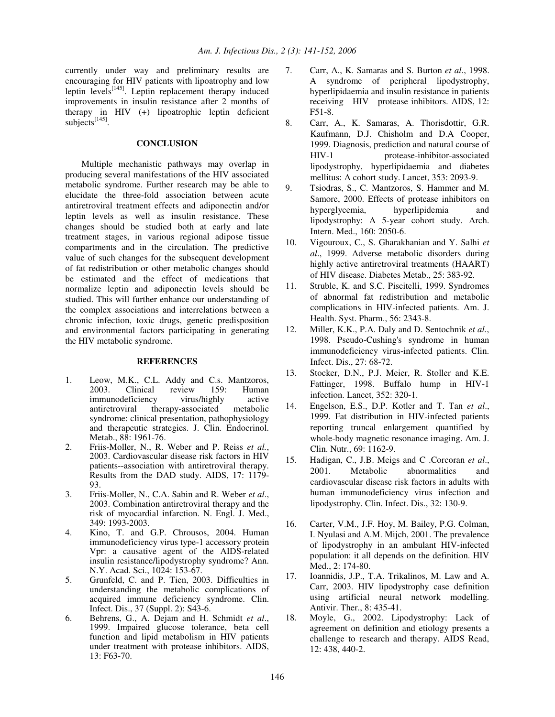currently under way and preliminary results are encouraging for HIV patients with lipoatrophy and low leptin levels<sup>[145]</sup>. Leptin replacement therapy induced improvements in insulin resistance after 2 months of therapy in HIV (+) lipoatrophic leptin deficient subjects<sup>[145]</sup>.

## **CONCLUSION**

Multiple mechanistic pathways may overlap in producing several manifestations of the HIV associated metabolic syndrome. Further research may be able to elucidate the three-fold association between acute antiretroviral treatment effects and adiponectin and/or leptin levels as well as insulin resistance. These changes should be studied both at early and late treatment stages, in various regional adipose tissue compartments and in the circulation. The predictive value of such changes for the subsequent development of fat redistribution or other metabolic changes should be estimated and the effect of medications that normalize leptin and adiponectin levels should be studied. This will further enhance our understanding of the complex associations and interrelations between a chronic infection, toxic drugs, genetic predisposition and environmental factors participating in generating the HIV metabolic syndrome.

## **REFERENCES**

- 1. Leow, M.K., C.L. Addy and C.s. Mantzoros, 2003. Clinical review 159: Human<br>immunodeficiency virus/highly active immunodeficiency virus/highly active antiretroviral therapy-associated metabolic syndrome: clinical presentation, pathophysiology and therapeutic strategies. J. Clin. Endocrinol. Metab., 88: 1961-76.
- 2. Friis-Moller, N., R. Weber and P. Reiss *et al.*, 2003. Cardiovascular disease risk factors in HIV patients--association with antiretroviral therapy. Results from the DAD study. AIDS, 17: 1179- 93.
- 3. Friis-Moller, N., C.A. Sabin and R. Weber *et al*., 2003. Combination antiretroviral therapy and the risk of myocardial infarction. N. Engl. J. Med., 349: 1993-2003.
- 4. Kino, T. and G.P. Chrousos, 2004. Human immunodeficiency virus type-1 accessory protein Vpr: a causative agent of the AIDS-related insulin resistance/lipodystrophy syndrome? Ann. N.Y. Acad. Sci., 1024: 153-67.
- 5. Grunfeld, C. and P. Tien, 2003. Difficulties in understanding the metabolic complications of acquired immune deficiency syndrome. Clin. Infect. Dis., 37 (Suppl. 2): S43-6.
- 6. Behrens, G., A. Dejam and H. Schmidt *et al*., 1999. Impaired glucose tolerance, beta cell function and lipid metabolism in HIV patients under treatment with protease inhibitors. AIDS, 13: F63-70.
- 7. Carr, A., K. Samaras and S. Burton *et al*., 1998. A syndrome of peripheral lipodystrophy, hyperlipidaemia and insulin resistance in patients receiving HIV protease inhibitors. AIDS, 12: F51-8.
- 8. Carr, A., K. Samaras, A. Thorisdottir, G.R. Kaufmann, D.J. Chisholm and D.A Cooper, 1999. Diagnosis, prediction and natural course of HIV-1 protease-inhibitor-associated lipodystrophy, hyperlipidaemia and diabetes mellitus: A cohort study. Lancet, 353: 2093-9.
- 9. Tsiodras, S., C. Mantzoros, S. Hammer and M. Samore, 2000. Effects of protease inhibitors on hyperglycemia, hyperlipidemia and lipodystrophy: A 5-year cohort study. Arch. Intern. Med., 160: 2050-6.
- 10. Vigouroux, C., S. Gharakhanian and Y. Salhi *et al*., 1999. Adverse metabolic disorders during highly active antiretroviral treatments (HAART) of HIV disease. Diabetes Metab., 25: 383-92.
- 11. Struble, K. and S.C. Piscitelli, 1999. Syndromes of abnormal fat redistribution and metabolic complications in HIV-infected patients. Am. J. Health. Syst. Pharm., 56: 2343-8.
- 12. Miller, K.K., P.A. Daly and D. Sentochnik *et al.*, 1998. Pseudo-Cushing's syndrome in human immunodeficiency virus-infected patients. Clin. Infect. Dis., 27: 68-72.
- 13. Stocker, D.N., P.J. Meier, R. Stoller and K.E. Fattinger, 1998. Buffalo hump in HIV-1 infection. Lancet, 352: 320-1.
- 14. Engelson, E.S., D.P. Kotler and T. Tan *et al*., 1999. Fat distribution in HIV-infected patients reporting truncal enlargement quantified by whole-body magnetic resonance imaging. Am. J. Clin. Nutr., 69: 1162-9.
- 15. Hadigan, C., J.B. Meigs and C .Corcoran *et al*., 2001. Metabolic abnormalities and cardiovascular disease risk factors in adults with human immunodeficiency virus infection and lipodystrophy. Clin. Infect. Dis., 32: 130-9.
- 16. Carter, V.M., J.F. Hoy, M. Bailey, P.G. Colman, I. Nyulasi and A.M. Mijch, 2001. The prevalence of lipodystrophy in an ambulant HIV-infected population: it all depends on the definition. HIV Med., 2: 174-80.
- 17. Ioannidis, J.P., T.A. Trikalinos, M. Law and A. Carr, 2003. HIV lipodystrophy case definition using artificial neural network modelling. Antivir. Ther., 8: 435-41.
- 18. Moyle, G., 2002. Lipodystrophy: Lack of agreement on definition and etiology presents a challenge to research and therapy. AIDS Read, 12: 438, 440-2.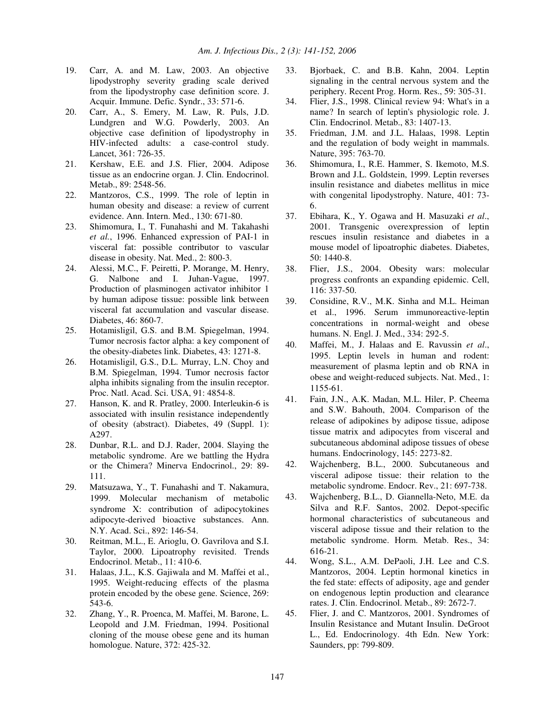- 19. Carr, A. and M. Law, 2003. An objective lipodystrophy severity grading scale derived from the lipodystrophy case definition score. J. Acquir. Immune. Defic. Syndr., 33: 571-6.
- 20. Carr, A., S. Emery, M. Law, R. Puls, J.D. Lundgren and W.G. Powderly, 2003. An objective case definition of lipodystrophy in HIV-infected adults: a case-control study. Lancet, 361: 726-35.
- 21. Kershaw, E.E. and J.S. Flier, 2004. Adipose tissue as an endocrine organ. J. Clin. Endocrinol. Metab., 89: 2548-56.
- 22. Mantzoros, C.S., 1999. The role of leptin in human obesity and disease: a review of current evidence. Ann. Intern. Med., 130: 671-80.
- 23. Shimomura, I., T. Funahashi and M. Takahashi *et al.*, 1996. Enhanced expression of PAI-1 in visceral fat: possible contributor to vascular disease in obesity. Nat. Med., 2: 800-3.
- 24. Alessi, M.C., F. Peiretti, P. Morange, M. Henry, G. Nalbone and I. Juhan-Vague, 1997. Production of plasminogen activator inhibitor 1 by human adipose tissue: possible link between visceral fat accumulation and vascular disease. Diabetes, 46: 860-7.
- 25. Hotamisligil, G.S. and B.M. Spiegelman, 1994. Tumor necrosis factor alpha: a key component of the obesity-diabetes link. Diabetes, 43: 1271-8.
- 26. Hotamisligil, G.S., D.L. Murray, L.N. Choy and B.M. Spiegelman, 1994. Tumor necrosis factor alpha inhibits signaling from the insulin receptor. Proc. Natl. Acad. Sci. USA, 91: 4854-8.
- 27. Hanson, K. and R. Pratley, 2000. Interleukin-6 is associated with insulin resistance independently of obesity (abstract). Diabetes, 49 (Suppl. 1): A297.
- 28. Dunbar, R.L. and D.J. Rader, 2004. Slaying the metabolic syndrome. Are we battling the Hydra or the Chimera? Minerva Endocrinol., 29: 89- 111.
- 29. Matsuzawa, Y., T. Funahashi and T. Nakamura, 1999. Molecular mechanism of metabolic syndrome X: contribution of adipocytokines adipocyte-derived bioactive substances. Ann. N.Y. Acad. Sci., 892: 146-54.
- 30. Reitman, M.L., E. Arioglu, O. Gavrilova and S.I. Taylor, 2000. Lipoatrophy revisited. Trends Endocrinol. Metab., 11: 410-6.
- 31. Halaas, J.L., K.S. Gajiwala and M. Maffei et al., 1995. Weight-reducing effects of the plasma protein encoded by the obese gene. Science, 269: 543-6.
- 32. Zhang, Y., R. Proenca, M. Maffei, M. Barone, L. Leopold and J.M. Friedman, 1994. Positional cloning of the mouse obese gene and its human homologue. Nature, 372: 425-32.
- 33. Bjorbaek, C. and B.B. Kahn, 2004. Leptin signaling in the central nervous system and the periphery. Recent Prog. Horm. Res., 59: 305-31.
- 34. Flier, J.S., 1998. Clinical review 94: What's in a name? In search of leptin's physiologic role. J. Clin. Endocrinol. Metab., 83: 1407-13.
- 35. Friedman, J.M. and J.L. Halaas, 1998. Leptin and the regulation of body weight in mammals. Nature, 395: 763-70.
- 36. Shimomura, I., R.E. Hammer, S. Ikemoto, M.S. Brown and J.L. Goldstein, 1999. Leptin reverses insulin resistance and diabetes mellitus in mice with congenital lipodystrophy. Nature, 401: 73- 6.
- 37. Ebihara, K., Y. Ogawa and H. Masuzaki *et al*., 2001. Transgenic overexpression of leptin rescues insulin resistance and diabetes in a mouse model of lipoatrophic diabetes. Diabetes, 50: 1440-8.
- 38. Flier, J.S., 2004. Obesity wars: molecular progress confronts an expanding epidemic. Cell, 116: 337-50.
- 39. Considine, R.V., M.K. Sinha and M.L. Heiman et al., 1996. Serum immunoreactive-leptin concentrations in normal-weight and obese humans. N. Engl. J. Med., 334: 292-5.
- 40. Maffei, M., J. Halaas and E. Ravussin *et al*., 1995. Leptin levels in human and rodent: measurement of plasma leptin and ob RNA in obese and weight-reduced subjects. Nat. Med., 1: 1155-61.
- 41. Fain, J.N., A.K. Madan, M.L. Hiler, P. Cheema and S.W. Bahouth, 2004. Comparison of the release of adipokines by adipose tissue, adipose tissue matrix and adipocytes from visceral and subcutaneous abdominal adipose tissues of obese humans. Endocrinology, 145: 2273-82.
- 42. Wajchenberg, B.L., 2000. Subcutaneous and visceral adipose tissue: their relation to the metabolic syndrome. Endocr. Rev., 21: 697-738.
- 43. Wajchenberg, B.L., D. Giannella-Neto, M.E. da Silva and R.F. Santos, 2002. Depot-specific hormonal characteristics of subcutaneous and visceral adipose tissue and their relation to the metabolic syndrome. Horm. Metab. Res., 34: 616-21.
- 44. Wong, S.L., A.M. DePaoli, J.H. Lee and C.S. Mantzoros, 2004. Leptin hormonal kinetics in the fed state: effects of adiposity, age and gender on endogenous leptin production and clearance rates. J. Clin. Endocrinol. Metab., 89: 2672-7.
- 45. Flier, J. and C. Mantzoros, 2001. Syndromes of Insulin Resistance and Mutant Insulin. DeGroot L., Ed. Endocrinology. 4th Edn. New York: Saunders, pp: 799-809.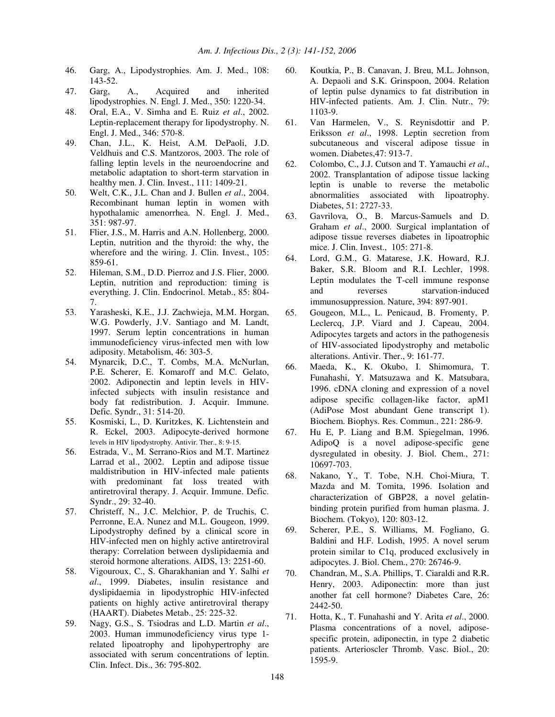- 46. Garg, A., Lipodystrophies. Am. J. Med., 108: 143-52.
- 47. Garg, A., Acquired and inherited lipodystrophies. N. Engl. J. Med., 350: 1220-34.
- 48. Oral, E.A., V. Simha and E. Ruiz *et al*., 2002. Leptin-replacement therapy for lipodystrophy. N. Engl. J. Med., 346: 570-8.
- 49. Chan, J.L., K. Heist, A.M. DePaoli, J.D. Veldhuis and C.S. Mantzoros, 2003. The role of falling leptin levels in the neuroendocrine and metabolic adaptation to short-term starvation in healthy men. J. Clin. Invest., 111: 1409-21.
- 50. Welt, C.K., J.L. Chan and J. Bullen *et al*., 2004. Recombinant human leptin in women with hypothalamic amenorrhea. N. Engl. J. Med., 351: 987-97.
- 51. Flier, J.S., M. Harris and A.N. Hollenberg, 2000. Leptin, nutrition and the thyroid: the why, the wherefore and the wiring. J. Clin. Invest., 105: 859-61.
- 52. Hileman, S.M., D.D. Pierroz and J.S. Flier, 2000. Leptin, nutrition and reproduction: timing is everything. J. Clin. Endocrinol. Metab., 85: 804- 7.
- 53. Yarasheski, K.E., J.J. Zachwieja, M.M. Horgan, W.G. Powderly, J.V. Santiago and M. Landt, 1997. Serum leptin concentrations in human immunodeficiency virus-infected men with low adiposity. Metabolism, 46: 303-5.
- 54. Mynarcik, D.C., T. Combs, M.A. McNurlan, P.E. Scherer, E. Komaroff and M.C. Gelato, 2002. Adiponectin and leptin levels in HIVinfected subjects with insulin resistance and body fat redistribution. J. Acquir. Immune. Defic. Syndr., 31: 514-20.
- 55. Kosmiski, L., D. Kuritzkes, K. Lichtenstein and R. Eckel, 2003. Adipocyte-derived hormone levels in HIV lipodystrophy. Antivir. Ther., 8: 9-15.
- 56. Estrada, V., M. Serrano-Rios and M.T. Martinez Larrad et al., 2002. Leptin and adipose tissue maldistribution in HIV-infected male patients with predominant fat loss treated with antiretroviral therapy. J. Acquir. Immune. Defic. Syndr., 29: 32-40.
- 57. Christeff, N., J.C. Melchior, P. de Truchis, C. Perronne, E.A. Nunez and M.L. Gougeon, 1999. Lipodystrophy defined by a clinical score in HIV-infected men on highly active antiretroviral therapy: Correlation between dyslipidaemia and steroid hormone alterations. AIDS, 13: 2251-60.
- 58. Vigouroux, C., S. Gharakhanian and Y. Salhi *et al*., 1999. Diabetes, insulin resistance and dyslipidaemia in lipodystrophic HIV-infected patients on highly active antiretroviral therapy (HAART). Diabetes Metab., 25: 225-32.
- 59. Nagy, G.S., S. Tsiodras and L.D. Martin *et al*., 2003. Human immunodeficiency virus type 1 related lipoatrophy and lipohypertrophy are associated with serum concentrations of leptin. Clin. Infect. Dis., 36: 795-802.
- 60. Koutkia, P., B. Canavan, J. Breu, M.L. Johnson, A. Depaoli and S.K. Grinspoon, 2004. Relation of leptin pulse dynamics to fat distribution in HIV-infected patients. Am. J. Clin. Nutr., 79: 1103-9.
- 61. Van Harmelen, V., S. Reynisdottir and P. Eriksson *et al*., 1998. Leptin secretion from subcutaneous and visceral adipose tissue in women. Diabetes,47: 913-7.
- 62. Colombo, C., J.J. Cutson and T. Yamauchi *et al*., 2002. Transplantation of adipose tissue lacking leptin is unable to reverse the metabolic abnormalities associated with lipoatrophy. Diabetes, 51: 2727-33.
- 63. Gavrilova, O., B. Marcus-Samuels and D. Graham *et al*., 2000. Surgical implantation of adipose tissue reverses diabetes in lipoatrophic mice. J. Clin. Invest., 105: 271-8.
- 64. Lord, G.M., G. Matarese, J.K. Howard, R.J. Baker, S.R. Bloom and R.I. Lechler, 1998. Leptin modulates the T-cell immune response and reverses starvation-induced immunosuppression. Nature, 394: 897-901.
- 65. Gougeon, M.L., L. Penicaud, B. Fromenty, P. Leclercq, J.P. Viard and J. Capeau, 2004. Adipocytes targets and actors in the pathogenesis of HIV-associated lipodystrophy and metabolic alterations. Antivir. Ther., 9: 161-77.
- 66. Maeda, K., K. Okubo, I. Shimomura, T. Funahashi, Y. Matsuzawa and K. Matsubara, 1996. cDNA cloning and expression of a novel adipose specific collagen-like factor, apM1 (AdiPose Most abundant Gene transcript 1). Biochem. Biophys. Res. Commun., 221: 286-9.
- 67. Hu E, P. Liang and B.M. Spiegelman, 1996. AdipoQ is a novel adipose-specific gene dysregulated in obesity. J. Biol. Chem., 271: 10697-703.
- 68. Nakano, Y., T. Tobe, N.H. Choi-Miura, T. Mazda and M. Tomita, 1996. Isolation and characterization of GBP28, a novel gelatinbinding protein purified from human plasma. J. Biochem. (Tokyo), 120: 803-12.
- 69. Scherer, P.E., S. Williams, M. Fogliano, G. Baldini and H.F. Lodish, 1995. A novel serum protein similar to C1q, produced exclusively in adipocytes. J. Biol. Chem., 270: 26746-9.
- 70. Chandran, M., S.A. Phillips, T. Ciaraldi and R.R. Henry, 2003. Adiponectin: more than just another fat cell hormone? Diabetes Care, 26: 2442-50.
- 71. Hotta, K., T. Funahashi and Y. Arita *et al*., 2000. Plasma concentrations of a novel, adiposespecific protein, adiponectin, in type 2 diabetic patients. Arterioscler Thromb. Vasc. Biol., 20: 1595-9.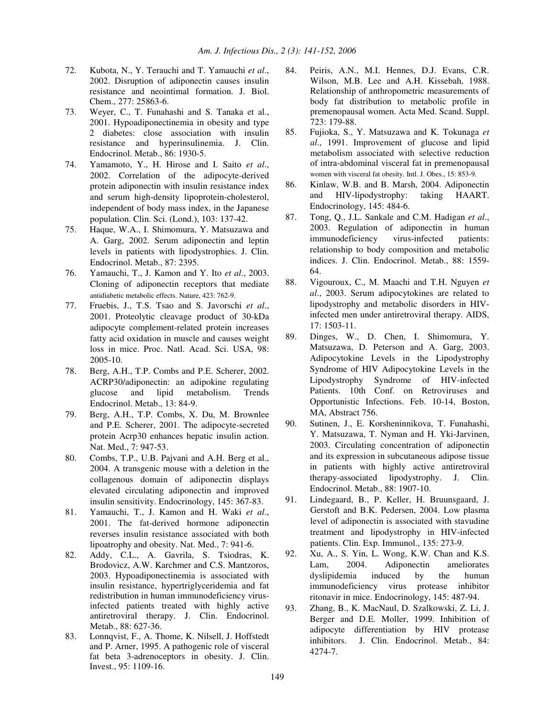- 72. Kubota, N., Y. Terauchi and T. Yamauchi *et al*., 2002. Disruption of adiponectin causes insulin resistance and neointimal formation. J. Biol. Chem., 277: 25863-6.
- 73. Weyer, C., T. Funahashi and S. Tanaka et al., 2001. Hypoadiponectinemia in obesity and type 2 diabetes: close association with insulin resistance and hyperinsulinemia. J. Clin. Endocrinol. Metab., 86: 1930-5.
- 74. Yamamoto, Y., H. Hirose and I. Saito *et al*., 2002. Correlation of the adipocyte-derived protein adiponectin with insulin resistance index and serum high-density lipoprotein-cholesterol, independent of body mass index, in the Japanese population. Clin. Sci. (Lond.), 103: 137-42.
- 75. Haque, W.A., I. Shimomura, Y. Matsuzawa and A. Garg, 2002. Serum adiponectin and leptin levels in patients with lipodystrophies. J. Clin. Endocrinol. Metab., 87: 2395.
- 76. Yamauchi, T., J. Kamon and Y. Ito *et al*., 2003. Cloning of adiponectin receptors that mediate antidiabetic metabolic effects. Nature, 423: 762-9.
- 77. Fruebis, J., T.S. Tsao and S. Javorschi *et al*., 2001. Proteolytic cleavage product of 30-kDa adipocyte complement-related protein increases fatty acid oxidation in muscle and causes weight loss in mice. Proc. Natl. Acad. Sci. USA, 98: 2005-10.
- 78. Berg, A.H., T.P. Combs and P.E. Scherer, 2002. ACRP30/adiponectin: an adipokine regulating glucose and lipid metabolism. Trends Endocrinol. Metab., 13: 84-9.
- 79. Berg, A.H., T.P. Combs, X. Du, M. Brownlee and P.E. Scherer, 2001. The adipocyte-secreted protein Acrp30 enhances hepatic insulin action. Nat. Med., 7: 947-53.
- 80. Combs, T.P., U.B. Pajvani and A.H. Berg et al., 2004. A transgenic mouse with a deletion in the collagenous domain of adiponectin displays elevated circulating adiponectin and improved insulin sensitivity. Endocrinology, 145: 367-83.
- 81. Yamauchi, T., J. Kamon and H. Waki *et al*., 2001. The fat-derived hormone adiponectin reverses insulin resistance associated with both lipoatrophy and obesity. Nat. Med., 7: 941-6.
- 82. Addy, C.L., A. Gavrila, S. Tsiodras, K. Brodovicz, A.W. Karchmer and C.S. Mantzoros, 2003. Hypoadiponectinemia is associated with insulin resistance, hypertriglyceridemia and fat redistribution in human immunodeficiency virusinfected patients treated with highly active antiretroviral therapy. J. Clin. Endocrinol. Metab., 88: 627-36.
- 83. Lonnqvist, F., A. Thome, K. Nilsell, J. Hoffstedt and P. Arner, 1995. A pathogenic role of visceral fat beta 3-adrenoceptors in obesity. J. Clin. Invest., 95: 1109-16.
- 84. Peiris, A.N., M.I. Hennes, D.J. Evans, C.R. Wilson, M.B. Lee and A.H. Kissebah, 1988. Relationship of anthropometric measurements of body fat distribution to metabolic profile in premenopausal women. Acta Med. Scand. Suppl. 723: 179-88.
- 85. Fujioka, S., Y. Matsuzawa and K. Tokunaga *et al*., 1991. Improvement of glucose and lipid metabolism associated with selective reduction of intra-abdominal visceral fat in premenopausal women with visceral fat obesity. Intl. J. Obes., 15: 853-9.
- 86. Kinlaw, W.B. and B. Marsh, 2004. Adiponectin and HIV-lipodystrophy: taking HAART. Endocrinology, 145: 484-6.
- 87. Tong, Q., J.L. Sankale and C.M. Hadigan *et al*., 2003. Regulation of adiponectin in human immunodeficiency virus-infected patients: relationship to body composition and metabolic indices. J. Clin. Endocrinol. Metab., 88: 1559- 64.
- 88. Vigouroux, C., M. Maachi and T.H. Nguyen *et al*., 2003. Serum adipocytokines are related to lipodystrophy and metabolic disorders in HIVinfected men under antiretroviral therapy. AIDS, 17: 1503-11.
- 89. Dinges, W., D. Chen, I. Shimomura, Y. Matsuzawa, D. Peterson and A. Garg, 2003. Adipocytokine Levels in the Lipodystrophy Syndrome of HIV Adipocytokine Levels in the Lipodystrophy Syndrome of HIV-infected Patients. 10th Conf. on Retroviruses and Opportunistic Infections. Feb. 10-14, Boston, MA, Abstract 756.
- 90. Sutinen, J., E. Korsheninnikova, T. Funahashi, Y. Matsuzawa, T. Nyman and H. Yki-Jarvinen, 2003. Circulating concentration of adiponectin and its expression in subcutaneous adipose tissue in patients with highly active antiretroviral therapy-associated lipodystrophy. J. Clin. Endocrinol. Metab., 88: 1907-10.
- 91. Lindegaard, B., P. Keller, H. Bruunsgaard, J. Gerstoft and B.K. Pedersen, 2004. Low plasma level of adiponectin is associated with stavudine treatment and lipodystrophy in HIV-infected patients. Clin. Exp. Immunol., 135: 273-9.
- 92. Xu, A., S. Yin, L. Wong, K.W. Chan and K.S. Lam, 2004. Adiponectin ameliorates dyslipidemia induced by the human immunodeficiency virus protease inhibitor ritonavir in mice. Endocrinology, 145: 487-94.
- 93. Zhang, B., K. MacNaul, D. Szalkowski, Z. Li, J. Berger and D.E. Moller, 1999. Inhibition of adipocyte differentiation by HIV protease inhibitors. J. Clin. Endocrinol. Metab., 84: 4274-7.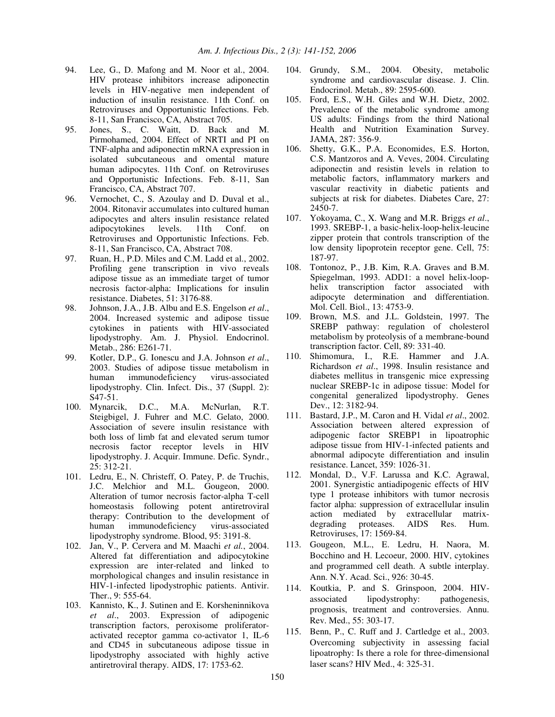- 94. Lee, G., D. Mafong and M. Noor et al., 2004. HIV protease inhibitors increase adiponectin levels in HIV-negative men independent of induction of insulin resistance. 11th Conf. on Retroviruses and Opportunistic Infections. Feb. 8-11, San Francisco, CA, Abstract 705.
- 95. Jones, S., C. Waitt, D. Back and M. Pirmohamed, 2004. Effect of NRTI and PI on TNF-alpha and adiponectin mRNA expression in isolated subcutaneous and omental mature human adipocytes. 11th Conf. on Retroviruses and Opportunistic Infections. Feb. 8-11, San Francisco, CA, Abstract 707.
- 96. Vernochet, C., S. Azoulay and D. Duval et al., 2004. Ritonavir accumulates into cultured human adipocytes and alters insulin resistance related adipocytokines levels. 11th Conf. on Retroviruses and Opportunistic Infections. Feb. 8-11, San Francisco, CA, Abstract 708.
- 97. Ruan, H., P.D. Miles and C.M. Ladd et al., 2002. Profiling gene transcription in vivo reveals adipose tissue as an immediate target of tumor necrosis factor-alpha: Implications for insulin resistance. Diabetes, 51: 3176-88.
- 98. Johnson, J.A., J.B. Albu and E.S. Engelson *et al*., 2004. Increased systemic and adipose tissue cytokines in patients with HIV-associated lipodystrophy. Am. J. Physiol. Endocrinol. Metab., 286: E261-71.
- 99. Kotler, D.P., G. Ionescu and J.A. Johnson *et al*., 2003. Studies of adipose tissue metabolism in human immunodeficiency virus-associated lipodystrophy. Clin. Infect. Dis., 37 (Suppl. 2): S<sub>47</sub>-51.
- 100. Mynarcik, D.C., M.A. McNurlan, R.T. Steigbigel, J. Fuhrer and M.C. Gelato, 2000. Association of severe insulin resistance with both loss of limb fat and elevated serum tumor necrosis factor receptor levels in HIV lipodystrophy. J. Acquir. Immune. Defic. Syndr., 25: 312-21.
- 101. Ledru, E., N. Christeff, O. Patey, P. de Truchis, J.C. Melchior and M.L. Gougeon, 2000. Alteration of tumor necrosis factor-alpha T-cell homeostasis following potent antiretroviral therapy: Contribution to the development of human immunodeficiency virus-associated lipodystrophy syndrome. Blood, 95: 3191-8.
- 102. Jan, V., P. Cervera and M. Maachi *et al.*, 2004. Altered fat differentiation and adipocytokine expression are inter-related and linked to morphological changes and insulin resistance in HIV-1-infected lipodystrophic patients. Antivir. Ther., 9: 555-64.
- 103. Kannisto, K., J. Sutinen and E. Korsheninnikova *et al*., 2003. Expression of adipogenic transcription factors, peroxisome proliferatoractivated receptor gamma co-activator 1, IL-6 and CD45 in subcutaneous adipose tissue in lipodystrophy associated with highly active antiretroviral therapy. AIDS, 17: 1753-62.
- 104. Grundy, S.M., 2004. Obesity, metabolic syndrome and cardiovascular disease. J. Clin. Endocrinol. Metab., 89: 2595-600.
- 105. Ford, E.S., W.H. Giles and W.H. Dietz, 2002. Prevalence of the metabolic syndrome among US adults: Findings from the third National Health and Nutrition Examination Survey. JAMA, 287: 356-9.
- 106. Shetty, G.K., P.A. Economides, E.S. Horton, C.S. Mantzoros and A. Veves, 2004. Circulating adiponectin and resistin levels in relation to metabolic factors, inflammatory markers and vascular reactivity in diabetic patients and subjects at risk for diabetes. Diabetes Care, 27: 2450-7.
- 107. Yokoyama, C., X. Wang and M.R. Briggs *et al*., 1993. SREBP-1, a basic-helix-loop-helix-leucine zipper protein that controls transcription of the low density lipoprotein receptor gene. Cell, 75: 187-97.
- 108. Tontonoz, P., J.B. Kim, R.A. Graves and B.M. Spiegelman, 1993. ADD1: a novel helix-loophelix transcription factor associated with adipocyte determination and differentiation. Mol. Cell. Biol., 13: 4753-9.
- 109. Brown, M.S. and J.L. Goldstein, 1997. The SREBP pathway: regulation of cholesterol metabolism by proteolysis of a membrane-bound transcription factor. Cell, 89: 331-40.
- 110. Shimomura, I., R.E. Hammer and J.A. Richardson *et al*., 1998. Insulin resistance and diabetes mellitus in transgenic mice expressing nuclear SREBP-1c in adipose tissue: Model for congenital generalized lipodystrophy. Genes Dev., 12: 3182-94.
- 111. Bastard, J.P., M. Caron and H. Vidal *et al*., 2002. Association between altered expression of adipogenic factor SREBP1 in lipoatrophic adipose tissue from HIV-1-infected patients and abnormal adipocyte differentiation and insulin resistance. Lancet, 359: 1026-31.
- 112. Mondal, D., V.F. Larussa and K.C. Agrawal, 2001. Synergistic antiadipogenic effects of HIV type 1 protease inhibitors with tumor necrosis factor alpha: suppression of extracellular insulin action mediated by extracellular matrixdegrading proteases. AIDS Res. Hum. Retroviruses, 17: 1569-84.
- 113. Gougeon, M.L., E. Ledru, H. Naora, M. Bocchino and H. Lecoeur, 2000. HIV, cytokines and programmed cell death. A subtle interplay. Ann. N.Y. Acad. Sci., 926: 30-45.
- 114. Koutkia, P. and S. Grinspoon, 2004. HIVassociated lipodystrophy: pathogenesis, prognosis, treatment and controversies. Annu. Rev. Med., 55: 303-17.
- 115. Benn, P., C. Ruff and J. Cartledge et al., 2003. Overcoming subjectivity in assessing facial lipoatrophy: Is there a role for three-dimensional laser scans? HIV Med., 4: 325-31.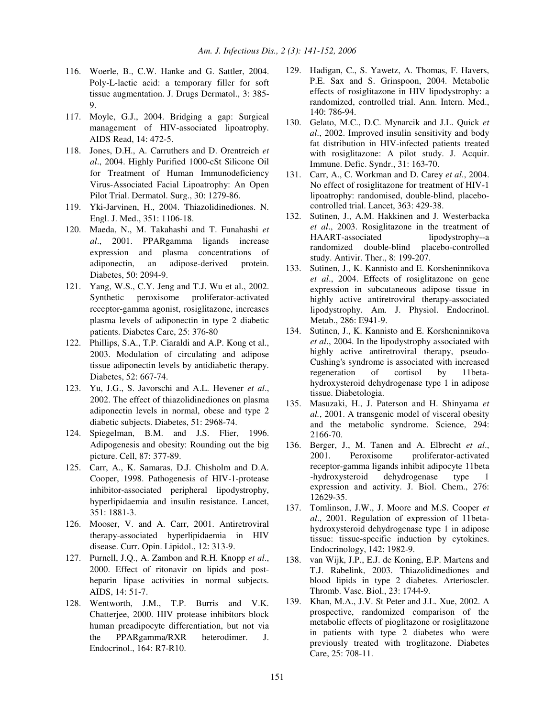- 116. Woerle, B., C.W. Hanke and G. Sattler, 2004. Poly-L-lactic acid: a temporary filler for soft tissue augmentation. J. Drugs Dermatol., 3: 385- 9.
- 117. Moyle, G.J., 2004. Bridging a gap: Surgical management of HIV-associated lipoatrophy. AIDS Read, 14: 472-5.
- 118. Jones, D.H., A. Carruthers and D. Orentreich *et al*., 2004. Highly Purified 1000-cSt Silicone Oil for Treatment of Human Immunodeficiency Virus-Associated Facial Lipoatrophy: An Open Pilot Trial. Dermatol. Surg., 30: 1279-86.
- 119. Yki-Jarvinen, H., 2004. Thiazolidinediones. N. Engl. J. Med., 351: 1106-18.
- 120. Maeda, N., M. Takahashi and T. Funahashi *et al*., 2001. PPARgamma ligands increase expression and plasma concentrations of adiponectin, an adipose-derived protein. Diabetes, 50: 2094-9.
- 121. Yang, W.S., C.Y. Jeng and T.J. Wu et al., 2002. Synthetic peroxisome proliferator-activated receptor-gamma agonist, rosiglitazone, increases plasma levels of adiponectin in type 2 diabetic patients. Diabetes Care, 25: 376-80
- 122. Phillips, S.A., T.P. Ciaraldi and A.P. Kong et al., 2003. Modulation of circulating and adipose tissue adiponectin levels by antidiabetic therapy. Diabetes, 52: 667-74.
- 123. Yu, J.G., S. Javorschi and A.L. Hevener *et al*., 2002. The effect of thiazolidinediones on plasma adiponectin levels in normal, obese and type 2 diabetic subjects. Diabetes, 51: 2968-74.
- 124. Spiegelman, B.M. and J.S. Flier, 1996. Adipogenesis and obesity: Rounding out the big picture. Cell, 87: 377-89.
- 125. Carr, A., K. Samaras, D.J. Chisholm and D.A. Cooper, 1998. Pathogenesis of HIV-1-protease inhibitor-associated peripheral lipodystrophy, hyperlipidaemia and insulin resistance. Lancet, 351: 1881-3.
- 126. Mooser, V. and A. Carr, 2001. Antiretroviral therapy-associated hyperlipidaemia in HIV disease. Curr. Opin. Lipidol., 12: 313-9.
- 127. Purnell, J.Q., A. Zambon and R.H. Knopp *et al*., 2000. Effect of ritonavir on lipids and postheparin lipase activities in normal subjects. AIDS, 14: 51-7.
- 128. Wentworth, J.M., T.P. Burris and V.K. Chatterjee, 2000. HIV protease inhibitors block human preadipocyte differentiation, but not via the PPARgamma/RXR heterodimer. J. Endocrinol., 164: R7-R10.
- 129. Hadigan, C., S. Yawetz, A. Thomas, F. Havers, P.E. Sax and S. Grinspoon, 2004. Metabolic effects of rosiglitazone in HIV lipodystrophy: a randomized, controlled trial. Ann. Intern. Med., 140: 786-94.
- 130. Gelato, M.C., D.C. Mynarcik and J.L. Quick *et al*., 2002. Improved insulin sensitivity and body fat distribution in HIV-infected patients treated with rosiglitazone: A pilot study. J. Acquir. Immune. Defic. Syndr., 31: 163-70.
- 131. Carr, A., C. Workman and D. Carey *et al*., 2004. No effect of rosiglitazone for treatment of HIV-1 lipoatrophy: randomised, double-blind, placebocontrolled trial. Lancet, 363: 429-38.
- 132. Sutinen, J., A.M. Hakkinen and J. Westerbacka *et al*., 2003. Rosiglitazone in the treatment of HAART-associated lipodystrophy--a randomized double-blind placebo-controlled study. Antivir. Ther., 8: 199-207.
- 133. Sutinen, J., K. Kannisto and E. Korsheninnikova *et al*., 2004. Effects of rosiglitazone on gene expression in subcutaneous adipose tissue in highly active antiretroviral therapy-associated lipodystrophy. Am. J. Physiol. Endocrinol. Metab., 286: E941-9.
- 134. Sutinen, J., K. Kannisto and E. Korsheninnikova *et al*., 2004. In the lipodystrophy associated with highly active antiretroviral therapy, pseudo-Cushing's syndrome is associated with increased regeneration of cortisol by 11betahydroxysteroid dehydrogenase type 1 in adipose tissue. Diabetologia.
- 135. Masuzaki, H., J. Paterson and H. Shinyama *et al.*, 2001. A transgenic model of visceral obesity and the metabolic syndrome. Science, 294: 2166-70.
- 136. Berger, J., M. Tanen and A. Elbrecht *et al*., 2001. Peroxisome proliferator-activated receptor-gamma ligands inhibit adipocyte 11beta -hydroxysteroid dehydrogenase type 1 expression and activity. J. Biol. Chem., 276: 12629-35.
- 137. Tomlinson, J.W., J. Moore and M.S. Cooper *et al*., 2001. Regulation of expression of 11betahydroxysteroid dehydrogenase type 1 in adipose tissue: tissue-specific induction by cytokines. Endocrinology, 142: 1982-9.
- 138. van Wijk, J.P., E.J. de Koning, E.P. Martens and T.J. Rabelink, 2003. Thiazolidinediones and blood lipids in type 2 diabetes. Arterioscler. Thromb. Vasc. Biol., 23: 1744-9.
- 139. Khan, M.A., J.V. St Peter and J.L. Xue, 2002. A prospective, randomized comparison of the metabolic effects of pioglitazone or rosiglitazone in patients with type 2 diabetes who were previously treated with troglitazone. Diabetes Care, 25: 708-11.